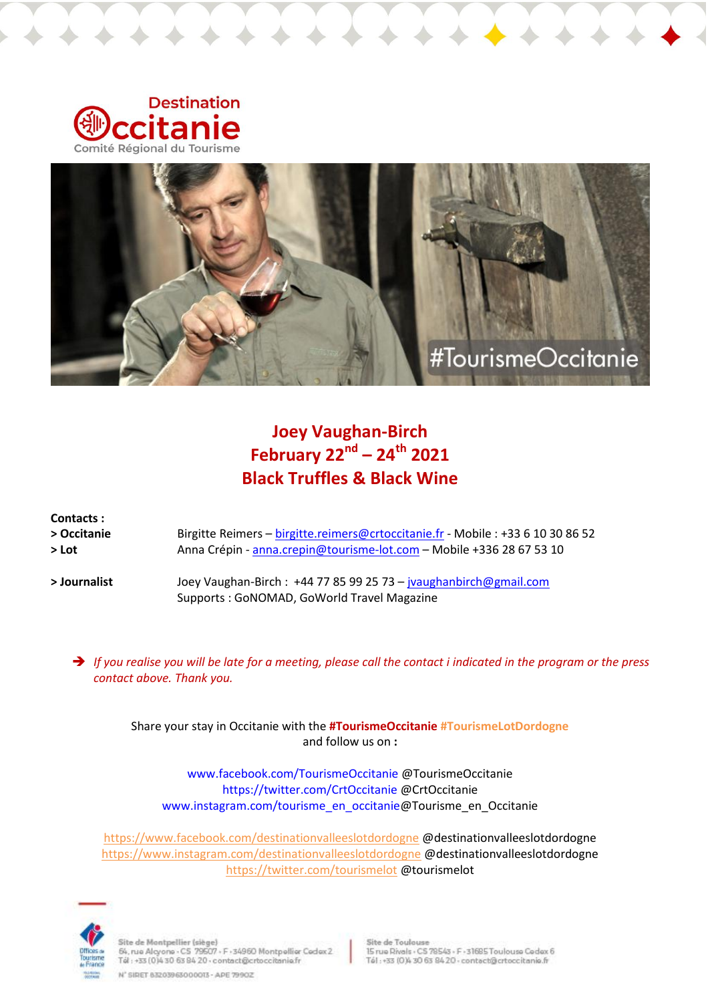



# **Joey Vaughan-Birch February 22nd – 24th 2021 Black Truffles & Black Wine**

| Contacts:<br>> Occitanie | Birgitte Reimers - birgitte.reimers@crtoccitanie.fr - Mobile : +33 6 10 30 86 52                               |
|--------------------------|----------------------------------------------------------------------------------------------------------------|
| $>$ Lot                  | Anna Crépin - anna.crepin@tourisme-lot.com - Mobile +336 28 67 53 10                                           |
| > Journalist             | Joey Vaughan-Birch: +44 77 85 99 25 73 - jvaughanbirch@gmail.com<br>Supports: GoNOMAD, GoWorld Travel Magazine |

 *If you realise you will be late for a meeting, please call the contact i indicated in the program or the press contact above. Thank you.*

Share your stay in Occitanie with the **#TourismeOccitanie #TourismeLotDordogne** and follow us on **:**

www.facebook.com/TourismeOccitanie @TourismeOccitanie https://twitter.com/CrtOccitanie @CrtOccitanie www.instagram.com/tourisme\_en\_occitanie@Tourisme\_en\_Occitanie

<https://www.facebook.com/destinationvalleeslotdordogne> @destinationvalleeslotdordogne <https://www.instagram.com/destinationvalleeslotdordogne> @destinationvalleeslotdordogne <https://twitter.com/tourismelot> @tourismelot



Site de Montpellier (siège)<br>64, rue Alcyone - CS 79507 - F -34960 Montpellier Cadex 2<br>Tál : +33 (0)4 30-63 84 20 - contact@crtoccitanie.fr

N' SIDET 83203963000013 - APE 79902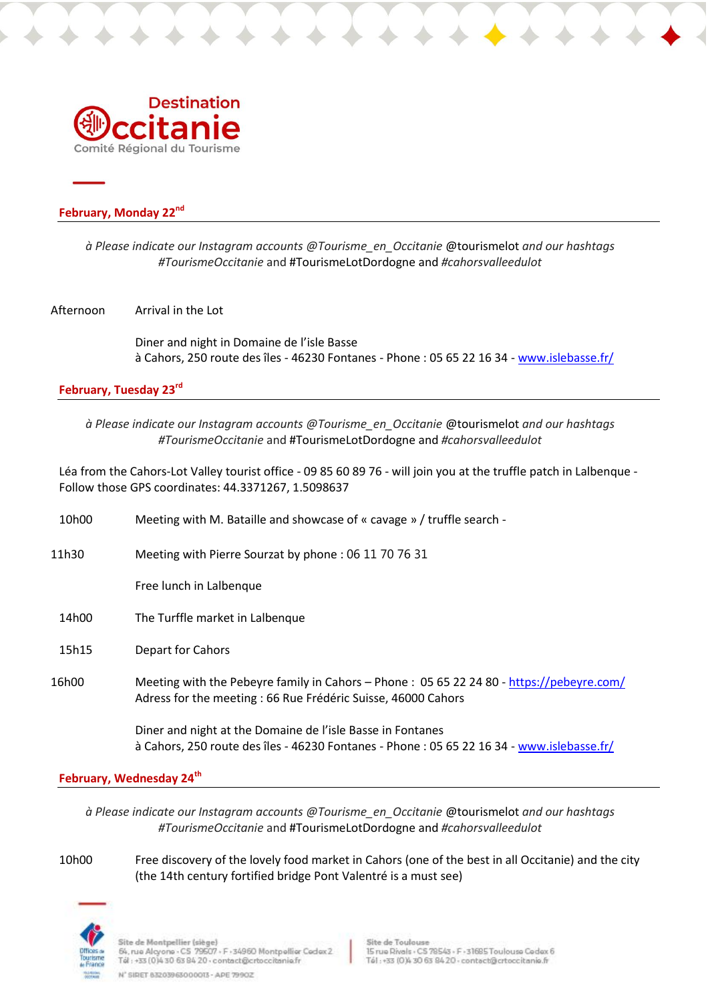

## **February, Monday 22nd**

*à Please indicate our Instagram accounts @Tourisme\_en\_Occitanie* @tourismelot *and our hashtags #TourismeOccitanie* and #TourismeLotDordogne and *[#cahorsvalleedulot](https://www.instagram.com/explore/tags/cahorsvalleedulot/)*

#### Afternoon Arrival in the Lot

Diner and night in Domaine de l'isle Basse à Cahors, 250 route des îles - 46230 Fontanes - Phone : 05 65 22 16 34 - [www.islebasse.fr/](https://www.islebasse.fr/)

# **February, Tuesday 23rd**

*à Please indicate our Instagram accounts @Tourisme\_en\_Occitanie* @tourismelot *and our hashtags #TourismeOccitanie* and #TourismeLotDordogne and *[#cahorsvalleedulot](https://www.instagram.com/explore/tags/cahorsvalleedulot/)*

Léa from the Cahors-Lot Valley tourist office - 09 85 60 89 76 - will join you at the truffle patch in Lalbenque - Follow those GPS coordinates: 44.3371267, 1.5098637

10h00 Meeting with M. Bataille and showcase of « cavage » / truffle search - 11h30 Meeting with Pierre Sourzat by phone : 06 11 70 76 31 Free lunch in Lalbenque 14h00 The Turffle market in Lalbenque 15h15 Depart for Cahors 16h00 Meeting with the Pebeyre family in Cahors – Phone : 05 65 22 24 80 - <https://pebeyre.com/> Adress for the meeting : 66 Rue Frédéric Suisse, 46000 Cahors

> Diner and night at the Domaine de l'isle Basse in Fontanes à Cahors, 250 route des îles - 46230 Fontanes - Phone : 05 65 22 16 34 - [www.islebasse.fr/](https://www.islebasse.fr/)

### **February, Wednesday 24th**

*à Please indicate our Instagram accounts @Tourisme\_en\_Occitanie* @tourismelot *and our hashtags #TourismeOccitanie* and #TourismeLotDordogne and *[#cahorsvalleedulot](https://www.instagram.com/explore/tags/cahorsvalleedulot/)*

10h00 Free discovery of the lovely food market in Cahors (one of the best in all Occitanie) and the city (the 14th century fortified bridge Pont Valentré is a must see)



Site de Montpellier (siège) sue as municipales (SS-2017)<br>- S4, nas Alcyone - CS-79507 - F - 34960 Montpellier Cedex 2<br>- Tél : +33 (0)4 30-63 84 20 - contact@crtoccitanie.fr